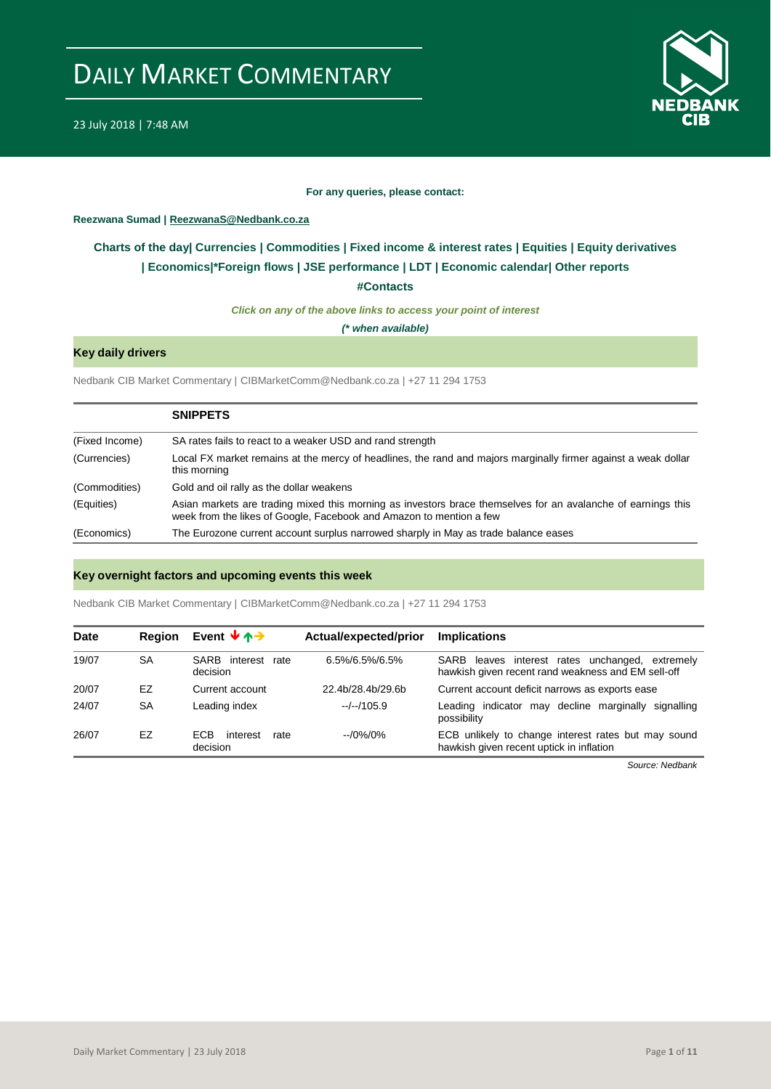

#### **For any queries, please contact:**

### <span id="page-0-0"></span>**Reezwana Sumad | ReezwanaS@Nedbank.co.za**

### **Charts of the day| [Currencies](#page-2-0) [| Commodities](#page-3-0) | [Fixed income & interest rates](#page-1-0) | [Equities](#page-4-0) | Equity derivatives | [Economics|\\*](#page-7-0)Foreign flows [| JSE performance](#page-4-1) | [LDT](#page-5-0) | [Economic calendar|](#page-8-0) Other reports**

**[#Contacts](#page-9-0)**

*Click on any of the above links to access your point of interest*

*(\* when available)*

### **Key daily drivers**

Nedbank CIB Market Commentary | CIBMarketComm@Nedbank.co.za | +27 11 294 1753

|                | <b>SNIPPETS</b>                                                                                                                                                                     |
|----------------|-------------------------------------------------------------------------------------------------------------------------------------------------------------------------------------|
| (Fixed Income) | SA rates fails to react to a weaker USD and rand strength                                                                                                                           |
| (Currencies)   | Local FX market remains at the mercy of headlines, the rand and majors marginally firmer against a weak dollar<br>this morning                                                      |
| (Commodities)  | Gold and oil rally as the dollar weakens                                                                                                                                            |
| (Equities)     | Asian markets are trading mixed this morning as investors brace themselves for an avalanche of earnings this<br>week from the likes of Google, Facebook and Amazon to mention a few |
| (Economics)    | The Eurozone current account surplus narrowed sharply in May as trade balance eases                                                                                                 |

### **Key overnight factors and upcoming events this week**

Nedbank CIB Market Commentary | CIBMarketComm@Nedbank.co.za | +27 11 294 1753

| Date  | <b>Region</b> | Event $\forall$ $\land \rightarrow$        | Actual/expected/prior | <b>Implications</b>                                                                                   |
|-------|---------------|--------------------------------------------|-----------------------|-------------------------------------------------------------------------------------------------------|
| 19/07 | SA            | SARB interest rate<br>decision             | $6.5\%/6.5\%/6.5\%$   | SARB leaves interest rates unchanged, extremely<br>hawkish given recent rand weakness and EM sell-off |
| 20/07 | EZ            | Current account                            | 22.4b/28.4b/29.6b     | Current account deficit narrows as exports ease                                                       |
| 24/07 | SA            | Leading index                              | $-/-/105.9$           | Leading indicator may decline marginally signalling<br>possibility                                    |
| 26/07 | EZ            | <b>FCB</b><br>interest<br>rate<br>decision | $-10\%/0\%$           | ECB unlikely to change interest rates but may sound<br>hawkish given recent uptick in inflation       |

*Source: Nedbank*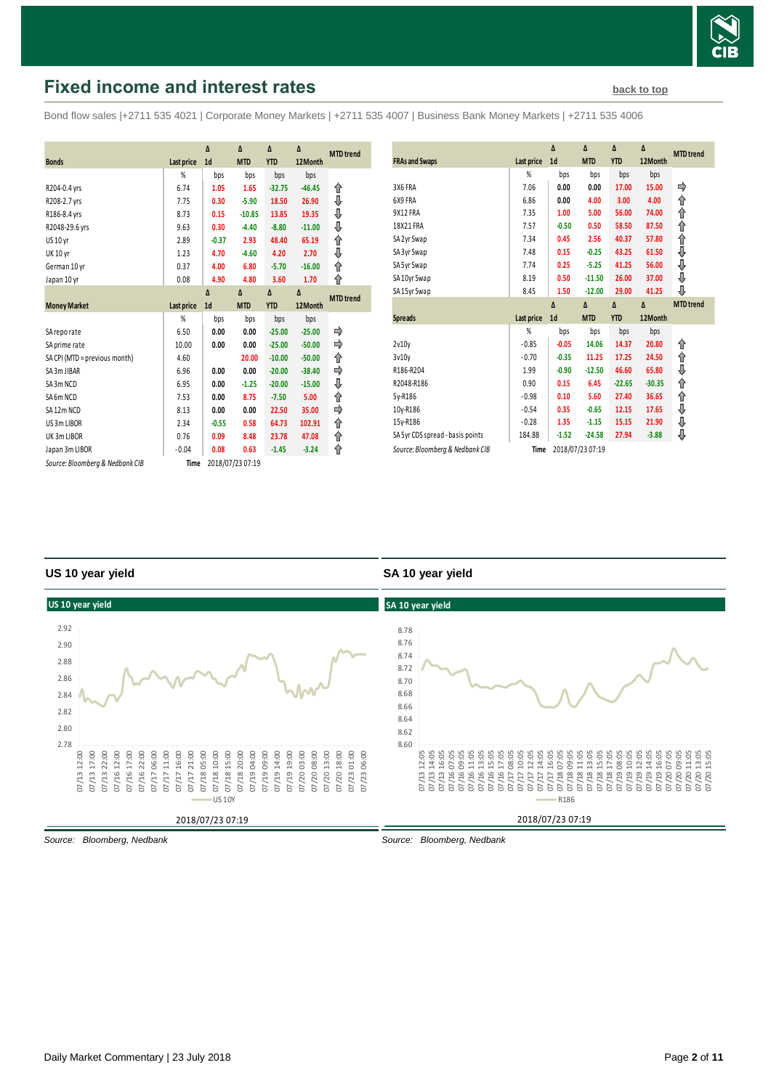

## <span id="page-1-0"></span>**Fixed income and interest rates [back to top](#page-0-0) back to top**

Bond flow sales |+2711 535 4021 | Corporate Money Markets | +2711 535 4007 | Business Bank Money Markets | +2711 535 4006

|                                 |                   | Δ              | Δ                | $\Delta$   | Δ        |                  |
|---------------------------------|-------------------|----------------|------------------|------------|----------|------------------|
| <b>Bonds</b>                    | <b>Last price</b> | 1 <sub>d</sub> | <b>MTD</b>       | <b>YTD</b> | 12Month  | <b>MTD</b> trend |
|                                 | %                 | bps            | bps              | bps        | bps      |                  |
| R204-0.4 yrs                    | 6.74              | 1.05           | 1.65             | $-32.75$   | $-46.45$ | ⇑                |
| R208-2.7 yrs                    | 7.75              | 0.30           | $-5.90$          | 18.50      | 26.90    | ⇓                |
| R186-8.4 yrs                    | 8.73              | 0.15           | $-10.85$         | 13.85      | 19.35    | ⊕                |
| R2048-29.6 yrs                  | 9.63              | 0.30           | $-4.40$          | $-8.80$    | $-11.00$ | ⊕                |
| <b>US 10 yr</b>                 | 2.89              | $-0.37$        | 2.93             | 48.40      | 65.19    | ⇑                |
| <b>UK 10 yr</b>                 | 1.23              | 4.70           | $-4.60$          | 4.20       | 2.70     | ⇓                |
| German 10 yr                    | 0.37              | 4.00           | 6.80             | $-5.70$    | $-16.00$ | ↑                |
| Japan 10 yr                     | 0.08              | 4.90           | 4.80             | 3.60       | 1.70     | ⇑                |
|                                 |                   | Δ              | $\Delta$         | Δ          | $\Delta$ | <b>MTD</b> trend |
| <b>Money Market</b>             | <b>Last price</b> | 1 <sub>d</sub> | <b>MTD</b>       | <b>YTD</b> | 12Month  |                  |
|                                 | %                 | bps            | bps              | bps        | bps      |                  |
| SA reporate                     | 6.50              | 0.00           | 0.00             | $-25.00$   | $-25.00$ |                  |
| SA prime rate                   | 10.00             | 0.00           | 0.00             | $-25.00$   | $-50.00$ | ⇛                |
| SA CPI (MTD = previous month)   | 4.60              |                | 20.00            | $-10.00$   | $-50.00$ | ↑                |
| SA 3m JIBAR                     | 6.96              | 0.00           | 0.00             | $-20.00$   | $-38.40$ |                  |
| SA3m NCD                        | 6.95              | 0.00           | $-1.25$          | $-20.00$   | $-15.00$ | ⇓                |
| SA6m NCD                        | 7.53              | 0.00           | 8.75             | $-7.50$    | 5.00     | ↑                |
| SA12m NCD                       | 8.13              | 0.00           | 0.00             | 22.50      | 35.00    |                  |
| US 3m LIBOR                     | 2.34              | $-0.55$        | 0.58             | 64.73      | 102.91   | ⇑                |
| UK3mLIBOR                       | 0.76              | 0.09           | 8.48             | 23.78      | 47.08    | ↟                |
| Japan 3m LIBOR                  | $-0.04$           | 0.08           | 0.63             | $-1.45$    | $-3.24$  | ⇑                |
| Source: Bloomberg & Nedbank CIB | Time              |                | 2018/07/23 07:19 |            |          |                  |

| <b>FRAs and Swaps</b>            | Last price | Δ<br>1 <sub>d</sub> | Δ<br><b>MTD</b> | Δ<br><b>YTD</b> | Δ<br>12Month | <b>MTD</b> trend |
|----------------------------------|------------|---------------------|-----------------|-----------------|--------------|------------------|
|                                  | %          | bps                 | bps             | bps             | bps          |                  |
| 3X6 FRA                          | 7.06       | 0.00                | 0.00            | 17.00           | 15.00        |                  |
| 6X9 FRA                          | 6.86       | 0.00                | 4.00            | 3.00            | 4.00         | ⇑                |
| 9X12 FRA                         | 7.35       | 1.00                | 5.00            | 56.00           | 74.00        | ⇑                |
| 18X21 FRA                        | 7.57       | $-0.50$             | 0.50            | 58.50           | 87.50        | ⇑                |
| SA 2yr Swap                      | 7.34       | 0.45                | 2.56            | 40.37           | 57.80        | ⇑                |
| SA 3yr Swap                      | 7.48       | 0.15                | $-0.25$         | 43.25           | 61.50        | ⇓                |
| SA 5yr Swap                      | 7.74       | 0.25                | $-5.25$         | 41.25           | 56.00        | ⇓                |
| SA 10yr Swap                     | 8.19       | 0.50                | $-11.50$        | 26.00           | 37.00        | ⇓                |
| SA 15yr Swap                     | 8.45       | 1.50                | $-12.00$        | 29.00           | 41.25        | ⊕                |
|                                  |            |                     |                 |                 |              |                  |
|                                  |            | $\Lambda$           | Δ               | $\Delta$        | Δ            | <b>MTD</b> trend |
| <b>Spreads</b>                   | Last price | 1 <sub>d</sub>      | <b>MTD</b>      | <b>YTD</b>      | 12Month      |                  |
|                                  | %          | bps                 | bps             | bps             | bps          |                  |
| 2v10v                            | $-0.85$    | $-0.05$             | 14.06           | 14.37           | 20.80        | ⇑                |
| 3v10v                            | $-0.70$    | $-0.35$             | 11.25           | 17.25           | 24.50        | ⇑                |
| R186-R204                        | 1.99       | $-0.90$             | $-12.50$        | 46.60           | 65.80        |                  |
| R2048-R186                       | 0.90       | 0.15                | 6.45            | $-22.65$        | $-30.35$     | ⇓<br>⇑           |
| 5y-R186                          | $-0.98$    | 0.10                | 5.60            | 27.40           | 36.65        | ⇑                |
| 10y-R186                         | $-0.54$    | 0.35                | $-0.65$         | 12.15           | 17.65        | ⇓                |
| 15y-R186                         | $-0.28$    | 1.35                | $-1.15$         | 15.15           | 21.90        | ⇓                |
| SA 5yr CDS spread - basis points | 184.88     | $-1.52$             | $-24.58$        | 27.94           | $-3.88$      | ⊕                |

### **US 10 year yield**

### **SA 10 year yield**



*Source: Bloomberg, Nedbank*

*Source: Bloomberg, Nedbank*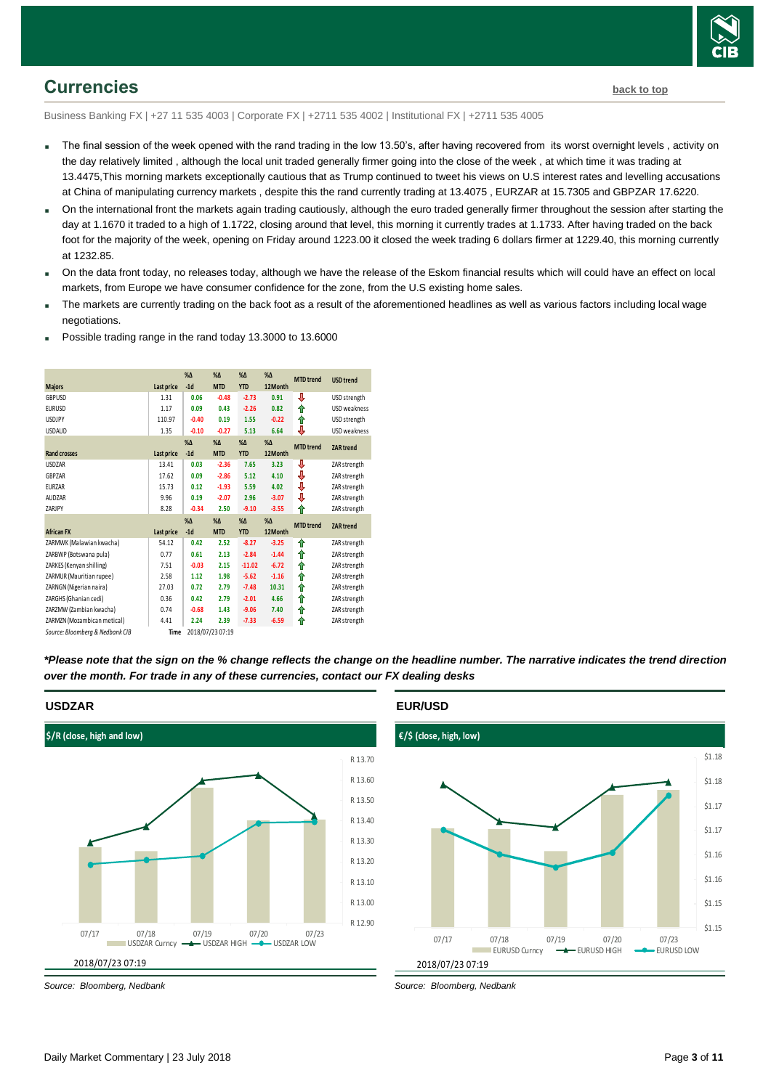

### <span id="page-2-0"></span>**Currencies [back to top](#page-0-0)**

Business Banking FX | +27 11 535 4003 | Corporate FX | +2711 535 4002 | Institutional FX | +2711 535 4005

- The final session of the week opened with the rand trading in the low 13.50's, after having recovered from its worst overnight levels, activity on the day relatively limited , although the local unit traded generally firmer going into the close of the week , at which time it was trading at 13.4475,This morning markets exceptionally cautious that as Trump continued to tweet his views on U.S interest rates and levelling accusations at China of manipulating currency markets , despite this the rand currently trading at 13.4075 , EURZAR at 15.7305 and GBPZAR 17.6220.
- On the international front the markets again trading cautiously, although the euro traded generally firmer throughout the session after starting the day at 1.1670 it traded to a high of 1.1722, closing around that level, this morning it currently trades at 1.1733. After having traded on the back foot for the majority of the week, opening on Friday around 1223.00 it closed the week trading 6 dollars firmer at 1229.40, this morning currently at 1232.85.
- On the data front today, no releases today, although we have the release of the Eskom financial results which will could have an effect on local markets, from Europe we have consumer confidence for the zone, from the U.S existing home sales.
- The markets are currently trading on the back foot as a result of the aforementioned headlines as well as various factors including local wage negotiations.

| <b>Majors</b>                   | Last price | $% \Delta$<br>$-1d$ | $% \Delta$<br><b>MTD</b>    | $% \Delta$<br><b>YTD</b>  | $% \Delta$<br>12Month    | <b>MTD</b> trend | <b>USD</b> trend |
|---------------------------------|------------|---------------------|-----------------------------|---------------------------|--------------------------|------------------|------------------|
| GBPUSD                          | 1.31       | 0.06                | $-0.48$                     | $-2.73$                   | 0.91                     | ⇩                | USD strength     |
| <b>EURUSD</b>                   | 1.17       | 0.09                | 0.43                        | $-2.26$                   | 0.82                     | ⇑                | USD weakness     |
| <b>USDJPY</b>                   | 110.97     | $-0.40$             | 0.19                        | 1.55                      | $-0.22$                  | ↑                | USD strength     |
| <b>USDAUD</b>                   | 1.35       | $-0.10$             | $-0.27$                     | 5.13                      | 6.64                     | ⇓                | USD weakness     |
| <b>Rand crosses</b>             | Last price | $% \Delta$<br>$-1d$ | $\%$ $\Delta$<br><b>MTD</b> | $% \Lambda$<br><b>YTD</b> | $\%$ $\Delta$<br>12Month | <b>MTD</b> trend | <b>ZAR</b> trend |
|                                 |            |                     |                             |                           |                          |                  |                  |
| <b>USDZAR</b>                   | 13.41      | 0.03                | $-2.36$                     | 7.65                      | 3.23                     | ₩                | ZAR strength     |
| GBPZAR                          | 17.62      | 0.09                | $-2.86$                     | 5.12                      | 4.10                     | ♦                | ZAR strength     |
| <b>EURZAR</b>                   | 15.73      | 0.12                | $-1.93$                     | 5.59                      | 4.02                     | ⇓                | ZAR strength     |
| <b>AUDZAR</b>                   | 9.96       | 0.19                | $-2.07$                     | 2.96                      | $-3.07$                  | ⇓                | ZAR strength     |
| ZARJPY                          | 8.28       | $-0.34$             | 2.50                        | $-9.10$                   | $-3.55$                  | ⇑                | ZAR strength     |
|                                 |            | $% \Delta$          | $% \Delta$                  | $% \Delta$                | $% \Delta$               | <b>MTD</b> trend |                  |
| <b>African FX</b>               | Last price | $-1d$               | <b>MTD</b>                  | <b>YTD</b>                | 12Month                  |                  | <b>ZAR</b> trend |
| ZARMWK (Malawian kwacha)        | 54.12      | 0.42                | 2.52                        | $-8.27$                   | $-3.25$                  | ⇑                | ZAR strength     |
| ZARBWP (Botswana pula)          | 0.77       | 0.61                | 2.13                        | $-2.84$                   | $-1.44$                  | ⇑                | ZAR strength     |
| ZARKES (Kenyan shilling)        | 7.51       | $-0.03$             | 2.15                        | $-11.02$                  | $-6.72$                  | ⇑                | ZAR strength     |
| ZARMUR (Mauritian rupee)        | 2.58       | 1.12                | 1.98                        | $-5.62$                   | $-1.16$                  | ↑                | ZAR strength     |
| ZARNGN (Nigerian naira)         | 27.03      | 0.72                | 2.79                        | $-7.48$                   | 10.31                    | ↑                | ZAR strength     |
| ZARGHS (Ghanian cedi)           | 0.36       | 0.42                | 2.79                        | $-2.01$                   | 4.66                     | ⇑                | ZAR strength     |
| ZARZMW (Zambian kwacha)         | 0.74       | $-0.68$             | 1.43                        | $-9.06$                   | 7.40                     | ⇑                | ZAR strength     |
| ZARMZN (Mozambican metical)     | 4.41       | 2.24                | 2.39                        | $-7.33$                   | $-6.59$                  | ⇑                | ZAR strength     |
| Source: Bloomberg & Nedbank CIB | Time       |                     | 2018/07/23 07:19            |                           |                          |                  |                  |

Possible trading range in the rand today 13.3000 to 13.6000

*\*Please note that the sign on the % change reflects the change on the headline number. The narrative indicates the trend direction over the month. For trade in any of these currencies, contact our FX dealing desks*



### **EUR/USD**



*Source: Bloomberg, Nedbank*

**USDZAR**

*Source: Bloomberg, Nedbank*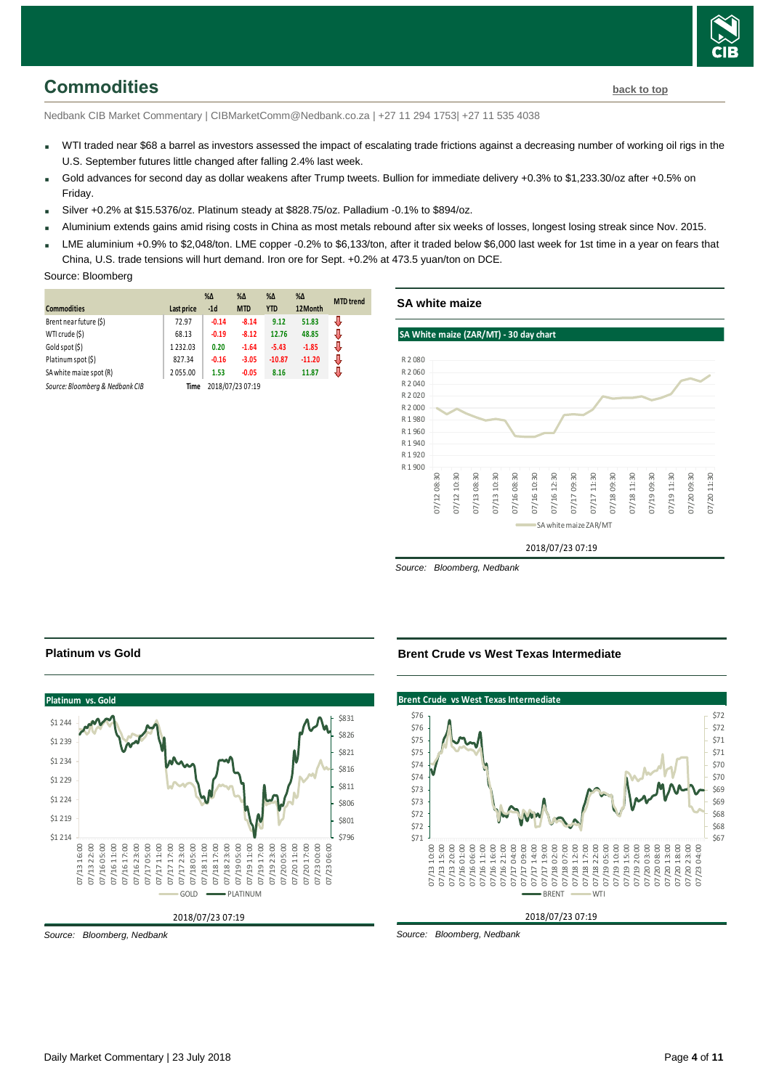# <span id="page-3-0"></span>**Commodities [back to top](#page-0-0)**

Nedbank CIB Market Commentary | CIBMarketComm@Nedbank.co.za | +27 11 294 1753| +27 11 535 4038

- WTI traded near \$68 a barrel as investors assessed the impact of escalating trade frictions against a decreasing number of working oil rigs in the U.S. September futures little changed after falling 2.4% last week.
- Gold advances for second day as dollar weakens after Trump tweets. Bullion for immediate delivery +0.3% to \$1,233.30/oz after +0.5% on Friday.
- Silver +0.2% at \$15.5376/oz. Platinum steady at \$828.75/oz. Palladium -0.1% to \$894/oz.
- Aluminium extends gains amid rising costs in China as most metals rebound after six weeks of losses, longest losing streak since Nov. 2015.
- LME aluminium +0.9% to \$2,048/ton. LME copper -0.2% to \$6,133/ton, after it traded below \$6,000 last week for 1st time in a year on fears that China, U.S. trade tensions will hurt demand. Iron ore for Sept. +0.2% at 473.5 yuan/ton on DCE.

### Source: Bloomberg

|                                 |            | $% \Delta$       | $% \Delta$ | $\% \Delta$ | $\% \Delta$ | <b>MTD</b> trend |
|---------------------------------|------------|------------------|------------|-------------|-------------|------------------|
| <b>Commodities</b>              | Last price | $-1d$            | <b>MTD</b> | <b>YTD</b>  | 12Month     |                  |
| Brent near future (\$)          | 72.97      | $-0.14$          | $-8.14$    | 9.12        | 51.83       | J                |
| WTI crude (\$)                  | 68.13      | $-0.19$          | $-8.12$    | 12.76       | 48.85       | J                |
| Gold spot (\$)                  | 1232.03    | 0.20             | $-1.64$    | $-5.43$     | $-1.85$     | J                |
| Platinum spot (\$)              | 827.34     | $-0.16$          | $-3.05$    | $-10.87$    | $-11.20$    | J                |
| SA white maize spot (R)         | 2055.00    | 1.53             | $-0.05$    | 8.16        | 11.87       |                  |
| Source: Bloomberg & Nedbank CIB | Time       | 2018/07/23 07:19 |            |             |             |                  |

### **SA white maize**

### **SA White maize (ZAR/MT) - 30 day chart**



*Source: Bloomberg, Nedbank*

### **Platinum vs Gold**



**Brent Crude vs West Texas Interme** 

\$76

**Brent Crude vs West Texas Intermediate**



*Source: Bloomberg, Nedbank*

*Source: Bloomberg, Nedbank*

\$72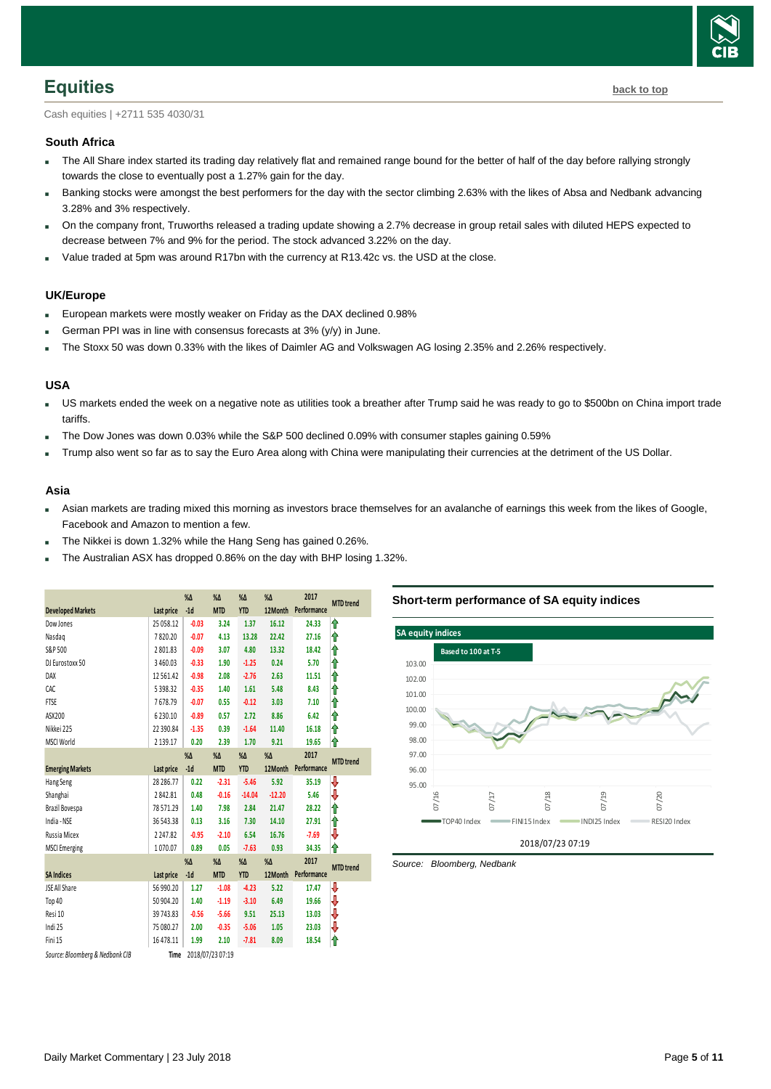

### <span id="page-4-0"></span>**Equities [back to top](#page-0-0)**

Cash equities | +2711 535 4030/31

### **South Africa**

- The All Share index started its trading day relatively flat and remained range bound for the better of half of the day before rallying strongly towards the close to eventually post a 1.27% gain for the day.
- Banking stocks were amongst the best performers for the day with the sector climbing 2.63% with the likes of Absa and Nedbank advancing 3.28% and 3% respectively.
- On the company front, Truworths released a trading update showing a 2.7% decrease in group retail sales with diluted HEPS expected to decrease between 7% and 9% for the period. The stock advanced 3.22% on the day.
- Value traded at 5pm was around R17bn with the currency at R13.42c vs. the USD at the close.

### **UK/Europe**

- European markets were mostly weaker on Friday as the DAX declined 0.98%
- German PPI was in line with consensus forecasts at 3% (y/y) in June.
- The Stoxx 50 was down 0.33% with the likes of Daimler AG and Volkswagen AG losing 2.35% and 2.26% respectively.

### **USA**

- US markets ended the week on a negative note as utilities took a breather after Trump said he was ready to go to \$500bn on China import trade tariffs.
- The Dow Jones was down 0.03% while the S&P 500 declined 0.09% with consumer staples gaining 0.59%
- Trump also went so far as to say the Euro Area along with China were manipulating their currencies at the detriment of the US Dollar.

### **Asia**

- Asian markets are trading mixed this morning as investors brace themselves for an avalanche of earnings this week from the likes of Google, Facebook and Amazon to mention a few.
- The Nikkei is down 1.32% while the Hang Seng has gained 0.26%.
- The Australian ASX has dropped 0.86% on the day with BHP losing 1.32%.

|                                 | $% \Delta$    | $% \Delta$ | $% \Delta$       | $% \Delta$    | 2017       | <b>MTD</b> trend |                  |
|---------------------------------|---------------|------------|------------------|---------------|------------|------------------|------------------|
| <b>Developed Markets</b>        | Last price    | $-1d$      | <b>MTD</b>       | <b>YTD</b>    | 12Month    | Performance      |                  |
| Dow Jones                       | 25 058.12     | $-0.03$    | 3.24             | 1.37          | 16.12      | 24.33            | ⇑                |
| Nasdag                          | 7820.20       | $-0.07$    | 4.13             | 13.28         | 22.42      | 27.16            | ⇑                |
| S&P 500                         | 2801.83       | $-0.09$    | 3.07             | 4.80          | 13.32      | 18.42            | ⇑                |
| DJ Eurostoxx 50                 | 3460.03       | $-0.33$    | 1.90             | $-1.25$       | 0.24       | 5.70             | ⇑                |
| DAX                             | 12561.42      | $-0.98$    | 2.08             | $-2.76$       | 2.63       | 11.51            | ⇑                |
| CAC                             | 5398.32       | $-0.35$    | 1.40             | 1.61          | 5.48       | 8.43             | ⋔                |
| <b>FTSE</b>                     | 7678.79       | $-0.07$    | 0.55             | $-0.12$       | 3.03       | 7.10             | ⇑                |
| ASX200                          | 6230.10       | $-0.89$    | 0.57             | 2.72          | 8.86       | 6.42             | ⇑                |
| Nikkei 225                      | 22 390.84     | $-1.35$    | 0.39             | $-1.64$       | 11.40      | 16.18            | ⋔                |
| <b>MSCI World</b>               | 2 1 3 9 . 1 7 | 0.20       | 2.39             | 1.70          | 9.21       | 19.65            | ⋔                |
|                                 |               | $% \Delta$ | $% \Delta$       | $\%$ $\Delta$ | $% \Delta$ | 2017             |                  |
| <b>Emerging Markets</b>         | Last price    | $-1d$      | <b>MTD</b>       | <b>YTD</b>    | 12Month    | Performance      | <b>MTD</b> trend |
| Hang Seng                       | 28 28 6.77    | 0.22       | $-2.31$          | $-5.46$       | 5.92       | 35.19            | ₩                |
| Shanghai                        | 2842.81       | 0.48       | $-0.16$          | $-14.04$      | $-12.20$   | 5.46             | ⇩                |
| Brazil Bovespa                  | 78571.29      | 1.40       | 7.98             | 2.84          | 21.47      | 28.22            | ⇑                |
| India - NSE                     | 36 543.38     | 0.13       | 3.16             | 7.30          | 14.10      | 27.91            | ⇑                |
| Russia Micex                    | 2247.82       | $-0.95$    | $-2.10$          | 6.54          | 16.76      | $-7.69$          | ⇩                |
| <b>MSCI</b> Emerging            | 1070.07       | 0.89       | 0.05             | $-7.63$       | 0.93       | 34.35            | ⇑                |
|                                 |               | $% \Delta$ | $% \Delta$       | %Δ            | $% \Delta$ | 2017             |                  |
| <b>SA Indices</b>               | Last price    | $-1d$      | <b>MTD</b>       | <b>YTD</b>    | 12Month    | Performance      | <b>MTD</b> trend |
| JSE All Share                   | 56 990.20     | 1.27       | $-1.08$          | $-4.23$       | 5.22       | 17.47            | ⇩                |
| Top 40                          | 50 904.20     | 1.40       | $-1.19$          | $-3.10$       | 6.49       | 19.66            | ₩                |
| Resi 10                         | 39743.83      | $-0.56$    | $-5.66$          | 9.51          | 25.13      | 13.03            | ₩                |
| Indi 25                         | 75 080.27     | 2.00       | $-0.35$          | $-5.06$       | 1.05       | 23.03            | ₩                |
| Fini 15                         | 16 478.11     | 1.99       | 2.10             | $-7.81$       | 8.09       | 18.54            | ⇑                |
| Source: Bloomberg & Nedbank CIB | Time          |            | 2018/07/23 07:19 |               |            |                  |                  |

### **Short-term performance of SA equity indices**



<span id="page-4-1"></span>*Source: Bloomberg, Nedbank*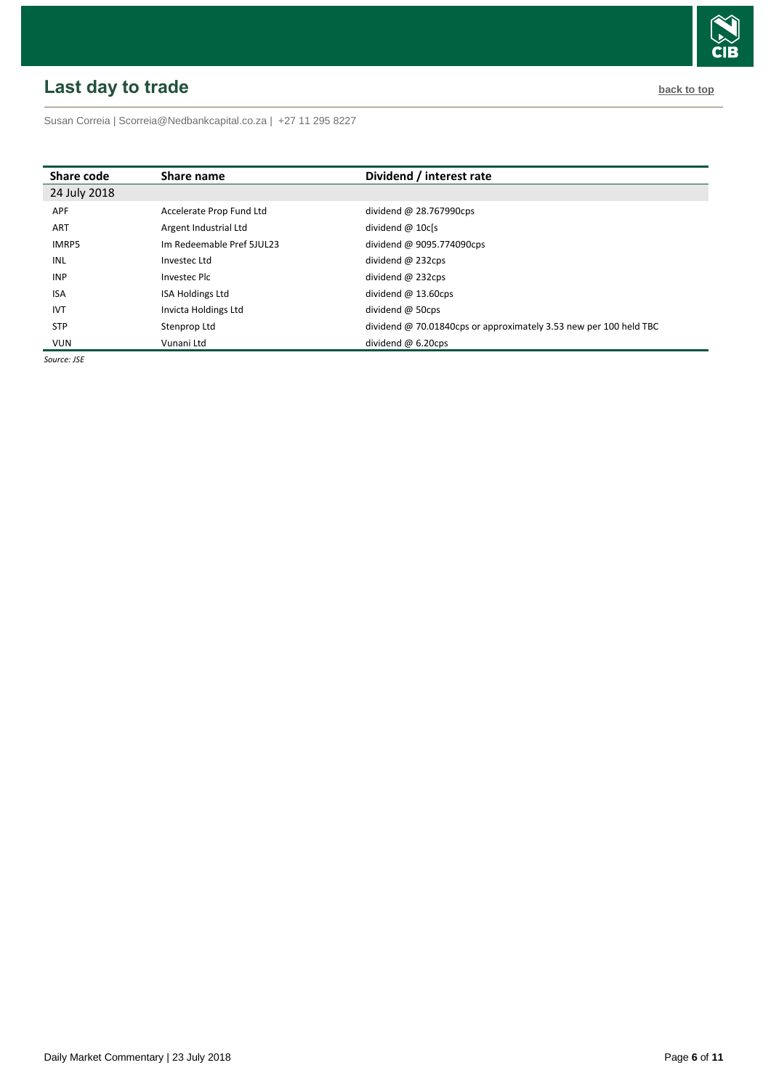# <span id="page-5-0"></span>**Last day to trade back to the contract of the contract of the contract of the contract of the contract of the contract of the contract of the contract of the contract of the contract of the contract of the contract of t**



Susan Correia [| Scorreia@Nedbankcapital.co.za](mailto:Scorreia@Nedbankcapital.co.za) | +27 11 295 8227

| Share code   | Share name                | Dividend / interest rate                                          |
|--------------|---------------------------|-------------------------------------------------------------------|
| 24 July 2018 |                           |                                                                   |
| <b>APF</b>   | Accelerate Prop Fund Ltd  | dividend $@$ 28.767990cps                                         |
| <b>ART</b>   | Argent Industrial Ltd     | dividend $@$ 10 $c$ [s                                            |
| <b>IMRP5</b> | Im Redeemable Pref 5JUL23 | dividend @ 9095.774090cps                                         |
| INL          | Investec Ltd              | dividend $@$ 232cps                                               |
| <b>INP</b>   | Investec Plc              | dividend $@$ 232cps                                               |
| <b>ISA</b>   | <b>ISA Holdings Ltd</b>   | dividend $@$ 13.60cps                                             |
| <b>IVT</b>   | Invicta Holdings Ltd      | dividend $@$ 50cps                                                |
| <b>STP</b>   | Stenprop Ltd              | dividend @ 70.01840cps or approximately 3.53 new per 100 held TBC |
| <b>VUN</b>   | Vunani Ltd                | dividend $@6.20$ cps                                              |

*Source: JSE*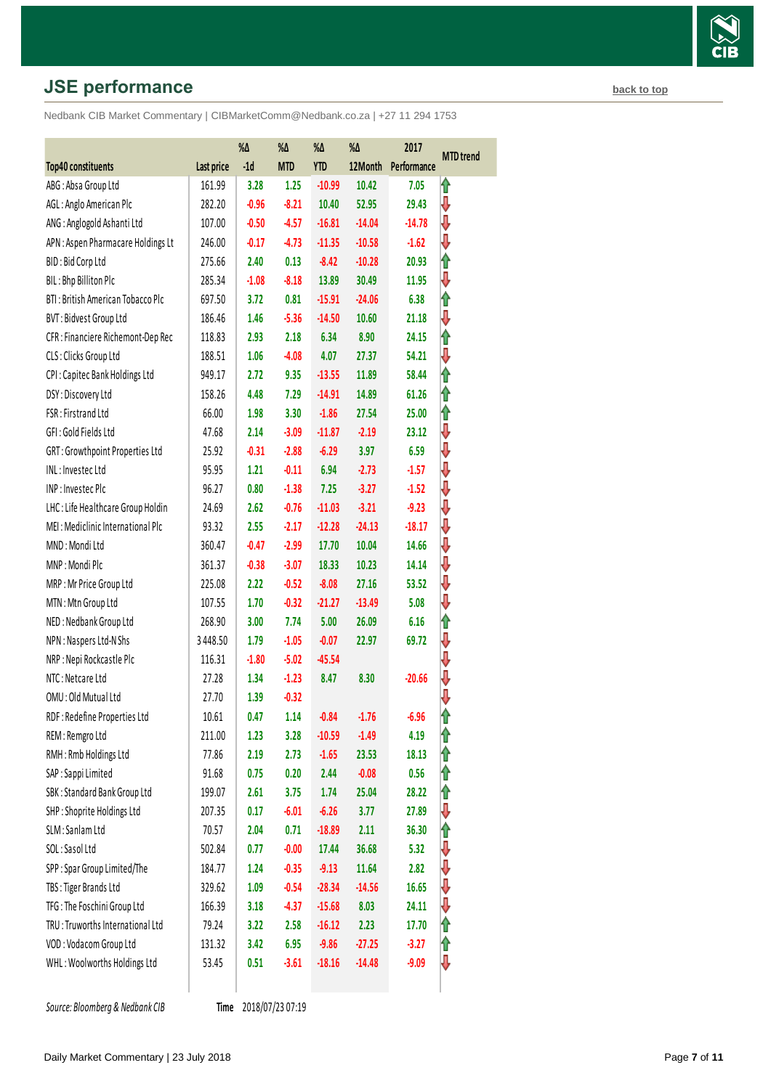# **JSE performance [back to top](#page-0-0) back to top**

Nedbank CIB Market Commentary | CIBMarketComm@Nedbank.co.za | +27 11 294 1753

|                                    | %Δ         |         | %Δ         | $\%\Delta$ | $\% \Delta$ | 2017        |                  |
|------------------------------------|------------|---------|------------|------------|-------------|-------------|------------------|
| Top40 constituents                 | Last price | $-1d$   | <b>MTD</b> | <b>YTD</b> | 12Month     | Performance | <b>MTD</b> trend |
| ABG: Absa Group Ltd                | 161.99     | 3.28    | 1.25       | $-10.99$   | 10.42       | 7.05        | ⇑                |
| AGL: Anglo American Plc            | 282.20     | $-0.96$ | $-8.21$    | 10.40      | 52.95       | 29.43       | ₩                |
| ANG: Anglogold Ashanti Ltd         | 107.00     | $-0.50$ | $-4.57$    | $-16.81$   | $-14.04$    | $-14.78$    | ⇩                |
| APN: Aspen Pharmacare Holdings Lt  | 246.00     | $-0.17$ | $-4.73$    | $-11.35$   | $-10.58$    | $-1.62$     | ⇩                |
| BID: Bid Corp Ltd                  | 275.66     | 2.40    | 0.13       | $-8.42$    | $-10.28$    | 20.93       | ⇑                |
| BIL: Bhp Billiton Plc              | 285.34     | $-1.08$ | $-8.18$    | 13.89      | 30.49       | 11.95       | ⇩                |
| BTI: British American Tobacco Plc  | 697.50     | 3.72    | 0.81       | $-15.91$   | $-24.06$    | 6.38        | ⇑                |
| BVT: Bidvest Group Ltd             | 186.46     | 1.46    | $-5.36$    | $-14.50$   | 10.60       | 21.18       | ⇩                |
| CFR : Financiere Richemont-Dep Rec | 118.83     | 2.93    | 2.18       | 6.34       | 8.90        | 24.15       | ⇑                |
| CLS: Clicks Group Ltd              | 188.51     | 1.06    | $-4.08$    | 4.07       | 27.37       | 54.21       | ⇩                |
| CPI: Capitec Bank Holdings Ltd     | 949.17     | 2.72    | 9.35       | $-13.55$   | 11.89       | 58.44       | ⇑                |
| DSY: Discovery Ltd                 | 158.26     | 4.48    | 7.29       | $-14.91$   | 14.89       | 61.26       | ⇑                |
| FSR: Firstrand Ltd                 | 66.00      | 1.98    | 3.30       | $-1.86$    | 27.54       | 25.00       | ⇑                |
| GFI: Gold Fields Ltd               | 47.68      | 2.14    | $-3.09$    | $-11.87$   | $-2.19$     | 23.12       | ⇩                |
| GRT: Growthpoint Properties Ltd    | 25.92      | $-0.31$ | $-2.88$    | $-6.29$    | 3.97        | 6.59        | ₩                |
| INL: Investec Ltd                  | 95.95      | 1.21    | $-0.11$    | 6.94       | $-2.73$     | $-1.57$     | ⇩                |
| INP: Investec Plc                  | 96.27      | 0.80    | $-1.38$    | 7.25       | $-3.27$     | $-1.52$     | ₩                |
| LHC: Life Healthcare Group Holdin  | 24.69      | 2.62    | $-0.76$    | $-11.03$   | $-3.21$     | $-9.23$     | ⇩                |
| MEI: Mediclinic International Plc  | 93.32      | 2.55    | $-2.17$    | $-12.28$   | $-24.13$    | $-18.17$    | ₩                |
| MND: Mondi Ltd                     | 360.47     | $-0.47$ | $-2.99$    | 17.70      | 10.04       | 14.66       | ⇩                |
| MNP: Mondi Plc                     | 361.37     | $-0.38$ | $-3.07$    | 18.33      | 10.23       | 14.14       | ₩                |
| MRP: Mr Price Group Ltd            | 225.08     | 2.22    | $-0.52$    | $-8.08$    | 27.16       | 53.52       | ⇩                |
| MTN: Mtn Group Ltd                 | 107.55     | 1.70    | $-0.32$    | $-21.27$   | $-13.49$    | 5.08        | ⇩                |
| NED: Nedbank Group Ltd             | 268.90     | 3.00    | 7.74       | 5.00       | 26.09       | 6.16        | ⇑                |
| NPN: Naspers Ltd-N Shs             | 3448.50    | 1.79    | $-1.05$    | $-0.07$    | 22.97       | 69.72       | ⇩                |
| NRP: Nepi Rockcastle Plc           | 116.31     | $-1.80$ | $-5.02$    | $-45.54$   |             |             | ⇩                |
| NTC: Netcare Ltd                   | 27.28      | 1.34    | $-1.23$    | 8.47       | 8.30        | $-20.66$    |                  |
| OMU: Old Mutual Ltd                | 27.70      | 1.39    | $-0.32$    |            |             |             | ⇩                |
| RDF: Redefine Properties Ltd       | 10.61      | 0.47    | 1.14       | $-0.84$    | $-1.76$     | $-6.96$     | 1                |
| REM: Remgro Ltd                    | 211.00     | 1.23    | 3.28       | $-10.59$   | $-1.49$     | 4.19        | 1                |
| RMH: Rmb Holdings Ltd              | 77.86      | 2.19    | 2.73       | $-1.65$    | 23.53       | 18.13       | ⇑                |
| SAP : Sappi Limited                | 91.68      | 0.75    | 0.20       | 2.44       | $-0.08$     | 0.56        | ⇑                |
| SBK: Standard Bank Group Ltd       | 199.07     | 2.61    | 3.75       | 1.74       | 25.04       | 28.22       | ⇑                |
| SHP: Shoprite Holdings Ltd         | 207.35     | 0.17    | $-6.01$    | $-6.26$    | 3.77        | 27.89       | ⇩                |
| SLM: Sanlam Ltd                    | 70.57      | 2.04    | 0.71       | $-18.89$   | 2.11        | 36.30       | ⇑                |
| SOL: Sasol Ltd                     | 502.84     | 0.77    | $-0.00$    | 17.44      | 36.68       | 5.32        | ⇓                |
| SPP: Spar Group Limited/The        | 184.77     | 1.24    | $-0.35$    | $-9.13$    | 11.64       | 2.82        | ⇩                |
| TBS: Tiger Brands Ltd              | 329.62     | 1.09    | $-0.54$    | $-28.34$   | $-14.56$    | 16.65       | ⇩                |
| TFG: The Foschini Group Ltd        | 166.39     | 3.18    | $-4.37$    | $-15.68$   | 8.03        | 24.11       | ⇩                |
| TRU: Truworths International Ltd   | 79.24      | 3.22    | 2.58       | $-16.12$   | 2.23        | 17.70       | ⇑                |
| VOD: Vodacom Group Ltd             | 131.32     | 3.42    | 6.95       | $-9.86$    | $-27.25$    | $-3.27$     | ⇑                |
| WHL: Woolworths Holdings Ltd       | 53.45      | 0.51    | $-3.61$    | $-18.16$   | $-14.48$    | $-9.09$     | ₩                |
|                                    |            |         |            |            |             |             |                  |

**Source: Bloomberg & Nedbank CIB** 

Time 2018/07/23 07:19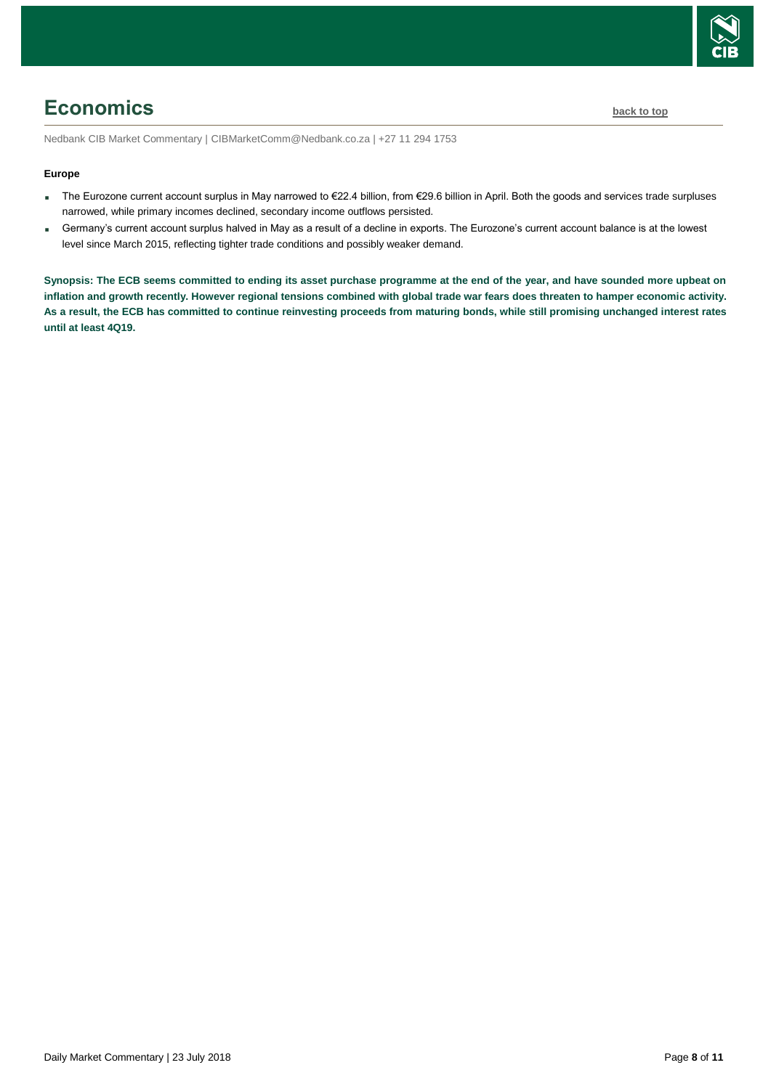

# <span id="page-7-0"></span>**Economics [back to top](#page-0-0)**

Nedbank CIB Market Commentary | CIBMarketComm@Nedbank.co.za | +27 11 294 1753

### **Europe**

- The Eurozone current account surplus in May narrowed to €22.4 billion, from €29.6 billion in April. Both the goods and services trade surpluses narrowed, while primary incomes declined, secondary income outflows persisted.
- Germany's current account surplus halved in May as a result of a decline in exports. The Eurozone's current account balance is at the lowest level since March 2015, reflecting tighter trade conditions and possibly weaker demand.

**Synopsis: The ECB seems committed to ending its asset purchase programme at the end of the year, and have sounded more upbeat on inflation and growth recently. However regional tensions combined with global trade war fears does threaten to hamper economic activity. As a result, the ECB has committed to continue reinvesting proceeds from maturing bonds, while still promising unchanged interest rates until at least 4Q19.**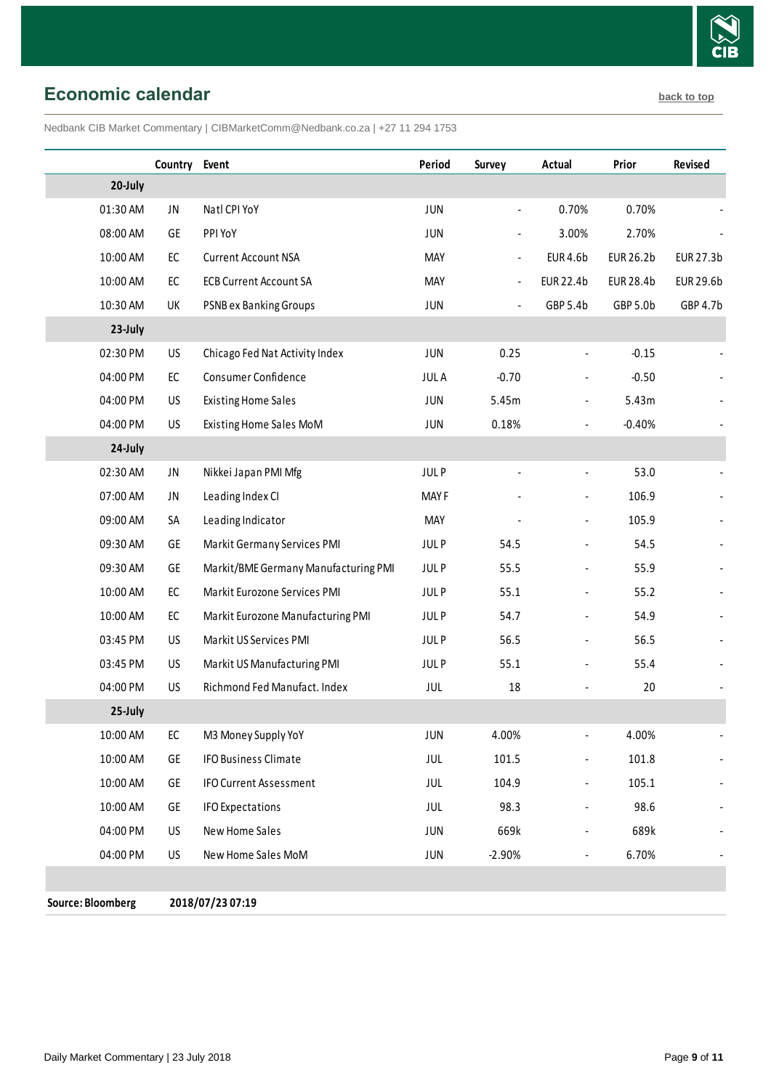

# <span id="page-8-0"></span>**Economic calendar [back to top](#page-0-0)**

Nedbank CIB Market Commentary | CIBMarketComm@Nedbank.co.za | +27 11 294 1753

|                   | Country       | Event                                | Period      | <b>Survey</b>            | Actual                       | Prior            | <b>Revised</b>   |
|-------------------|---------------|--------------------------------------|-------------|--------------------------|------------------------------|------------------|------------------|
| 20-July           |               |                                      |             |                          |                              |                  |                  |
| 01:30 AM          | JN            | Natl CPI YoY                         | <b>JUN</b>  | $\overline{\phantom{a}}$ | 0.70%                        | 0.70%            |                  |
| 08:00 AM          | GE            | PPI YoY                              | <b>JUN</b>  | $\overline{\phantom{0}}$ | 3.00%                        | 2.70%            |                  |
| 10:00 AM          | $\mathsf{EC}$ | <b>Current Account NSA</b>           | <b>MAY</b>  | $\blacksquare$           | <b>EUR 4.6b</b>              | <b>EUR 26.2b</b> | EUR 27.3b        |
| 10:00 AM          | EC            | <b>ECB Current Account SA</b>        | <b>MAY</b>  | $\blacksquare$           | EUR 22.4b                    | <b>EUR 28.4b</b> | <b>EUR 29.6b</b> |
| 10:30 AM          | UK            | <b>PSNB ex Banking Groups</b>        | <b>JUN</b>  | $\overline{\phantom{a}}$ | GBP 5.4b                     | GBP 5.0b         | GBP 4.7b         |
| 23-July           |               |                                      |             |                          |                              |                  |                  |
| 02:30 PM          | US            | Chicago Fed Nat Activity Index       | <b>JUN</b>  | 0.25                     |                              | $-0.15$          |                  |
| 04:00 PM          | EC            | Consumer Confidence                  | <b>JULA</b> | $-0.70$                  |                              | $-0.50$          |                  |
| 04:00 PM          | <b>US</b>     | <b>Existing Home Sales</b>           | JUN         | 5.45m                    | $\overline{a}$               | 5.43m            |                  |
| 04:00 PM          | US            | Existing Home Sales MoM              | <b>JUN</b>  | 0.18%                    | $\overline{a}$               | $-0.40%$         |                  |
| 24-July           |               |                                      |             |                          |                              |                  |                  |
| 02:30 AM          | JN            | Nikkei Japan PMI Mfg                 | <b>JULP</b> |                          | $\overline{a}$               | 53.0             |                  |
| 07:00 AM          | JN            | Leading Index CI                     | <b>MAYF</b> |                          |                              | 106.9            |                  |
| 09:00 AM          | SA            | Leading Indicator                    | MAY         |                          | $\blacksquare$               | 105.9            |                  |
| 09:30 AM          | GE            | Markit Germany Services PMI          | <b>JULP</b> | 54.5                     |                              | 54.5             |                  |
| 09:30 AM          | GE            | Markit/BME Germany Manufacturing PMI | <b>JULP</b> | 55.5                     | $\overline{\phantom{a}}$     | 55.9             |                  |
| 10:00 AM          | $\mathsf{EC}$ | Markit Eurozone Services PMI         | <b>JULP</b> | 55.1                     |                              | 55.2             |                  |
| 10:00 AM          | EC            | Markit Eurozone Manufacturing PMI    | <b>JULP</b> | 54.7                     |                              | 54.9             |                  |
| 03:45 PM          | US            | Markit US Services PMI               | <b>JULP</b> | 56.5                     |                              | 56.5             |                  |
| 03:45 PM          | <b>US</b>     | Markit US Manufacturing PMI          | <b>JULP</b> | 55.1                     |                              | 55.4             |                  |
| 04:00 PM          | <b>US</b>     | Richmond Fed Manufact, Index         | <b>JUL</b>  | 18                       |                              | 20               |                  |
| 25-July           |               |                                      |             |                          |                              |                  |                  |
| 10:00 AM          | EC            | M3 Money Supply YoY                  | JUN         | 4.00%                    | $\overline{\phantom{0}}$     | 4.00%            |                  |
| 10:00 AM          | GE            | <b>IFO Business Climate</b>          | JUL         | 101.5                    | $\qquad \qquad \blacksquare$ | 101.8            |                  |
| 10:00 AM          | GE            | <b>IFO Current Assessment</b>        | JUL         | 104.9                    | $\qquad \qquad \blacksquare$ | 105.1            |                  |
| 10:00 AM          | GE            | <b>IFO Expectations</b>              | JUL         | 98.3                     | $\overline{\phantom{0}}$     | 98.6             |                  |
| 04:00 PM          | US            | New Home Sales                       | <b>JUN</b>  | 669k                     |                              | 689k             |                  |
| 04:00 PM          | US            | New Home Sales MoM                   | <b>JUN</b>  | $-2.90%$                 | $\overline{\phantom{a}}$     | 6.70%            |                  |
|                   |               |                                      |             |                          |                              |                  |                  |
| Source: Bloomberg |               | 2018/07/23 07:19                     |             |                          |                              |                  |                  |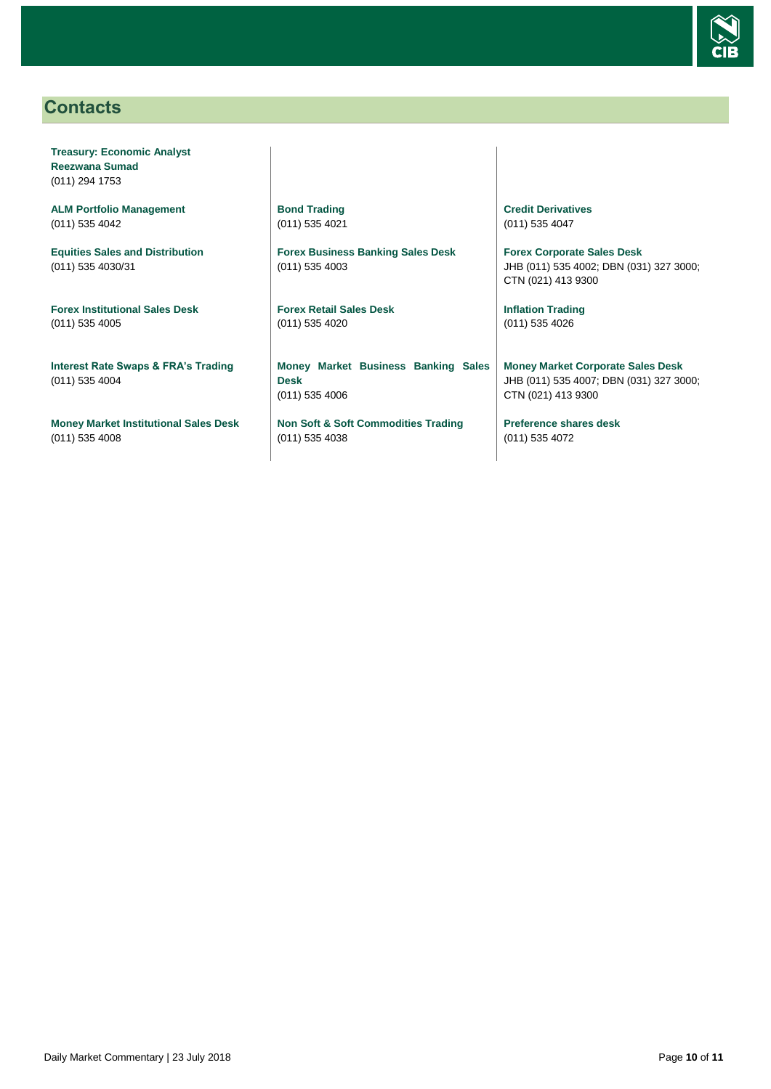

## <span id="page-9-0"></span>**Contacts**

**Treasury: Economic Analyst Reezwana Sumad** (011) 294 1753

**ALM Portfolio Management** (011) 535 4042

**Equities Sales and Distribution** (011) 535 4030/31

**Forex Institutional Sales Desk** (011) 535 4005

**Interest Rate Swaps & FRA's Trading** (011) 535 4004

**Money Market Institutional Sales Desk** (011) 535 4008

**Bond Trading** (011) 535 4021

**Forex Business Banking Sales Desk** (011) 535 4003

**Forex Retail Sales Desk** (011) 535 4020

**Money Market Business Banking Sales Desk** (011) 535 4006

**Non Soft & Soft Commodities Trading** (011) 535 4038

**Credit Derivatives**  (011) 535 4047

**Forex Corporate Sales Desk** JHB (011) 535 4002; DBN (031) 327 3000; CTN (021) 413 9300

**Inflation Trading** (011) 535 4026

**Money Market Corporate Sales Desk** JHB (011) 535 4007; DBN (031) 327 3000; CTN (021) 413 9300

**Preference shares desk** (011) 535 4072